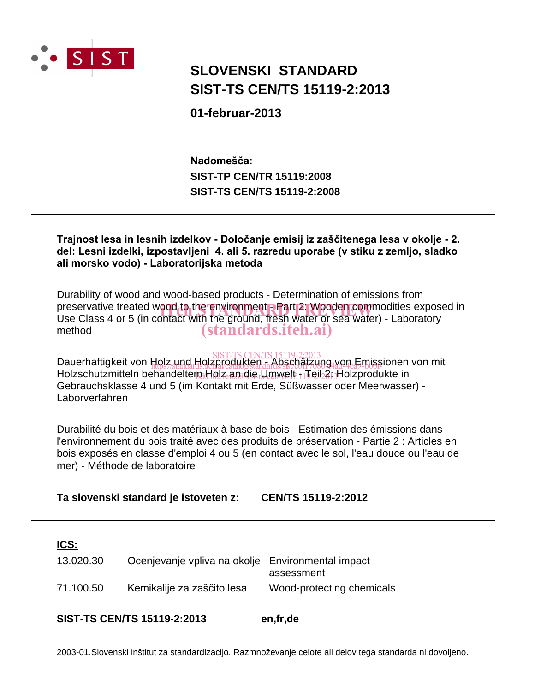

# **SIST-TS CEN/TS 15119-2:2013 SLOVENSKI STANDARD**

**01-februar-2013**

**SIST-TS CEN/TS 15119-2:2008 SIST-TP CEN/TR 15119:2008** Nadomešča:

Trajnost lesa in lesnih izdelkov - Določanje emisij iz zaščitenega lesa v okolje - 2. del: Lesni izdelki, izpostavljeni 4. ali 5. razredu uporabe (v stiku z zemljo, sladko ali morsko vodo) - Laboratorijska metoda

Durability of wood and wood-based products - Determination of emissions from preservative treated wood to the environment - Part 2: Wooden commodities exposed in<br>Use Class 4 or 5 (in contact with the ground, fresh water or sea water) - Laboratory Use Class 4 or 5 (in contact with the ground, fresh water or sea water) - Laboratory method (standards.iteh.ai)

**Dauerhaftigkeit von Holz und Holzprodukten - Abschätzung von Emissionen von mit Dauerhaftigkeit von Holz** Holzschutzmitteln behandeltem Holz an die Umwelt  $_{1}$ Teil 2: Holzprodukte in Gebrauchsklasse 4 und 5 (im Kontakt mit Erde, Süßwasser oder Meerwasser) - Laborverfahren  $\Pi$ OI $Z$ , UMG.  $\Pi$ QI $Z$ DIOQUIKIEI $1$ dards/sist/c6117086-44d-4ea9-b00f

Durabilité du bois et des matériaux à base de bois - Estimation des émissions dans l'environnement du bois traité avec des produits de préservation - Partie 2 : Articles en bois exposés en classe d'emploi 4 ou 5 (en contact avec le sol, l'eau douce ou l'eau de mer) - Méthode de laboratoire

**Ta slovenski standard je istoveten z: CEN/TS 15119-2:2012**

| ICS:                               |                                                   |                           |
|------------------------------------|---------------------------------------------------|---------------------------|
| 13.020.30                          | Ocenjevanje vpliva na okolje Environmental impact | assessment                |
| 71.100.50                          | Kemikalije za zaščito lesa                        | Wood-protecting chemicals |
| <b>SIST-TS CEN/TS 15119-2:2013</b> |                                                   | en,fr,de                  |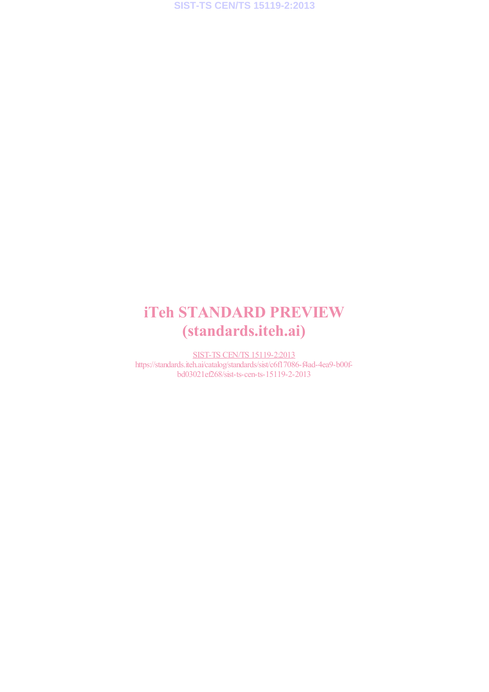# iTeh STANDARD PREVIEW (standards.iteh.ai)

SIST-TS CEN/TS 15119-2:2013 https://standards.iteh.ai/catalog/standards/sist/c6f17086-f4ad-4ea9-b00fbd03021ef268/sist-ts-cen-ts-15119-2-2013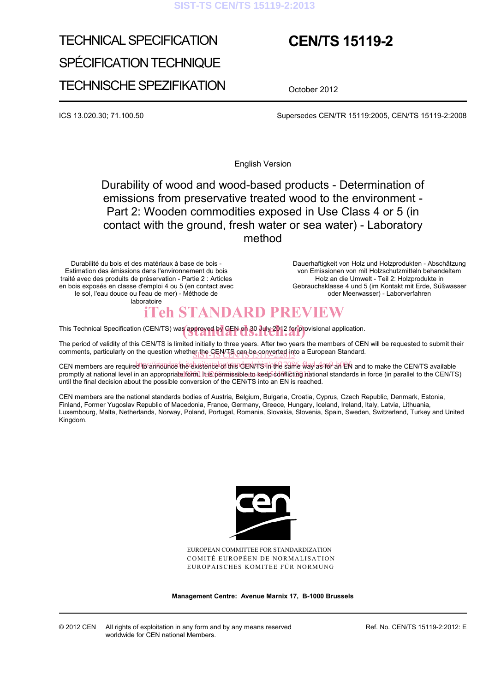#### **SIST-TS CEN/TS 15119-2:2013**

# TECHNICAL SPECIFICATION SPÉCIFICATION TECHNIQUE TECHNISCHE SPEZIFIKATION

# **CEN/TS 15119-2**

October 2012

ICS 13.020.30; 71.100.50 Supersedes CEN/TR 15119:2005, CEN/TS 15119-2:2008

English Version

 Durability of wood and wood-based products - Determination of emissions from preservative treated wood to the environment - Part 2: Wooden commodities exposed in Use Class 4 or 5 (in contact with the ground, fresh water or sea water) - Laboratory method

Durabilité du bois et des matériaux à base de bois - Estimation des émissions dans l'environnement du bois traité avec des produits de préservation - Partie 2 : Articles en bois exposés en classe d'emploi 4 ou 5 (en contact avec le sol, l'eau douce ou l'eau de mer) - Méthode de laboratoire

 Dauerhaftigkeit von Holz und Holzprodukten - Abschätzung von Emissionen von mit Holzschutzmitteln behandeltem Holz an die Umwelt - Teil 2: Holzprodukte in Gebrauchsklasse 4 und 5 (im Kontakt mit Erde, Süßwasser oder Meerwasser) - Laborverfahren

## iTeh STANDARD PREVIEW

This Technical Specification (CEN/TS) was approved by CEN on 30 July 2012 for provisional application.

The period of validity of this CEN/TS is limited initially to three years. After two years the members of CEN will be requested to submit their comments, particularly on the question whether the CEN/TS can be converted into a European Standard.

CEN members are required to announce the existence of this den *information* of the same way as for an EN and to make the CEN/TS available promptly at national level in an appropriate form. It is permissible to keep conflicting national standards in force (in parallel to the CEN/TS) until the final decision about the possible conversion of the CEN/TS into an EN is reached.

CEN members are the national standards bodies of Austria, Belgium, Bulgaria, Croatia, Cyprus, Czech Republic, Denmark, Estonia, Finland, Former Yugoslav Republic of Macedonia, France, Germany, Greece, Hungary, Iceland, Ireland, Italy, Latvia, Lithuania, Luxembourg, Malta, Netherlands, Norway, Poland, Portugal, Romania, Slovakia, Slovenia, Spain, Sweden, Switzerland, Turkey and United Kingdom.



EUROPEAN COMMITTEE FOR STANDARDIZATION COMITÉ EUROPÉEN DE NORMALISATION EUROPÄISCHES KOMITEE FÜR NORMUNG

**Management Centre: Avenue Marnix 17, B-1000 Brussels** 

© 2012 CEN All rights of exploitation in any form and by any means reserved worldwide for CEN national Members.

Ref. No. CEN/TS 15119-2:2012: E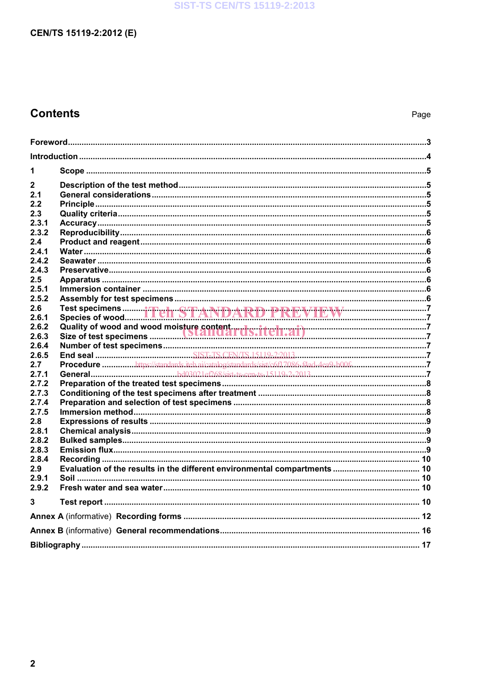### **SIST-TS CEN/TS 15119-2:2013**

## CEN/TS 15119-2:2012 (E)

## **Contents**

| 1     |  |  |  |
|-------|--|--|--|
| 2     |  |  |  |
| 2.1   |  |  |  |
| 2.2   |  |  |  |
| 2.3   |  |  |  |
| 2.3.1 |  |  |  |
| 2.3.2 |  |  |  |
| 2.4   |  |  |  |
| 2.4.1 |  |  |  |
| 2.4.2 |  |  |  |
| 2.4.3 |  |  |  |
| 2.5   |  |  |  |
| 2.5.1 |  |  |  |
| 2.5.2 |  |  |  |
| 2.6   |  |  |  |
| 2.6.1 |  |  |  |
| 2.6.2 |  |  |  |
| 2.6.3 |  |  |  |
| 2.6.4 |  |  |  |
| 2.6.5 |  |  |  |
| 2.7   |  |  |  |
| 2.7.1 |  |  |  |
| 2.7.2 |  |  |  |
| 2.7.3 |  |  |  |
| 2.7.4 |  |  |  |
| 2.7.5 |  |  |  |
| 2.8   |  |  |  |
| 2.8.1 |  |  |  |
| 2.8.2 |  |  |  |
| 2.8.3 |  |  |  |
| 2.8.4 |  |  |  |
| 2.9   |  |  |  |
| 2.9.1 |  |  |  |
| 2.9.2 |  |  |  |
| 3     |  |  |  |
|       |  |  |  |
|       |  |  |  |
|       |  |  |  |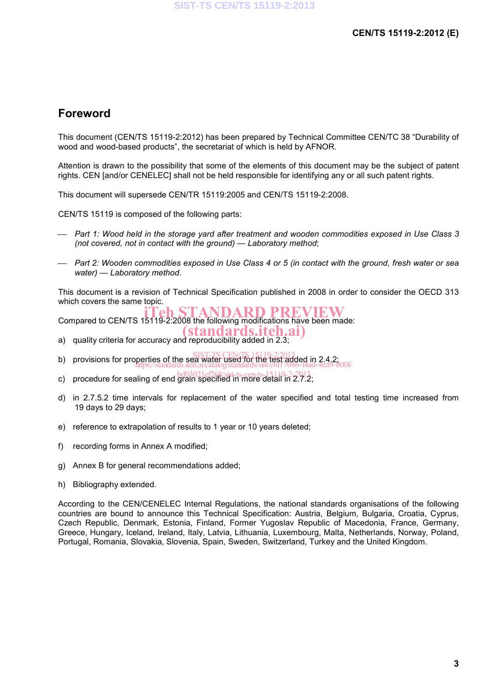### **Foreword**

This document (CEN/TS 15119-2:2012) has been prepared by Technical Committee CEN/TC 38 "Durability of wood and wood-based products", the secretariat of which is held by AFNOR.

Attention is drawn to the possibility that some of the elements of this document may be the subject of patent rights. CEN [and/or CENELEC] shall not be held responsible for identifying any or all such patent rights.

This document will supersede CEN/TR 15119:2005 and CEN/TS 15119-2:2008.

CEN/TS 15119 is composed of the following parts:

- *Part 1: Wood held in the storage yard after treatment and wooden commodities exposed in Use Class 3 (not covered, not in contact with the ground) — Laboratory method*;
- *Part 2: Wooden commodities exposed in Use Class 4 or 5 (in contact with the ground, fresh water or sea water) — Laboratory method*.

This document is a revision of Technical Specification published in 2008 in order to consider the OECD 313 which covers the same topic.

Compared to CEN/TS 15119-2:2008 the following modifications have been made:

- a) quality criteria for accuracy and reproducibility added in 2.3; (standards.iteh.ai)
- b) provisions for properties of the sea water used for the test added in 2.4.2; https://standards.iteh.ai/catalog/standards/sist/c6f17086-f4ad-4ea9-b00f-
- c) procedure for sealing of end  $\frac{1}{9}$ ref268/sist-ts-cen-ts-15119-2-2013;<br>c) procedure for sealing of end grain specified in more detail in 2.7.2;
- d) in 2.7.5.2 time intervals for replacement of the water specified and total testing time increased from 19 days to 29 days;
- e) reference to extrapolation of results to 1 year or 10 years deleted;
- f) recording forms in Annex A modified;
- g) Annex B for general recommendations added;
- h) Bibliography extended.

According to the CEN/CENELEC Internal Regulations, the national standards organisations of the following countries are bound to announce this Technical Specification: Austria, Belgium, Bulgaria, Croatia, Cyprus, Czech Republic, Denmark, Estonia, Finland, Former Yugoslav Republic of Macedonia, France, Germany, Greece, Hungary, Iceland, Ireland, Italy, Latvia, Lithuania, Luxembourg, Malta, Netherlands, Norway, Poland, Portugal, Romania, Slovakia, Slovenia, Spain, Sweden, Switzerland, Turkey and the United Kingdom.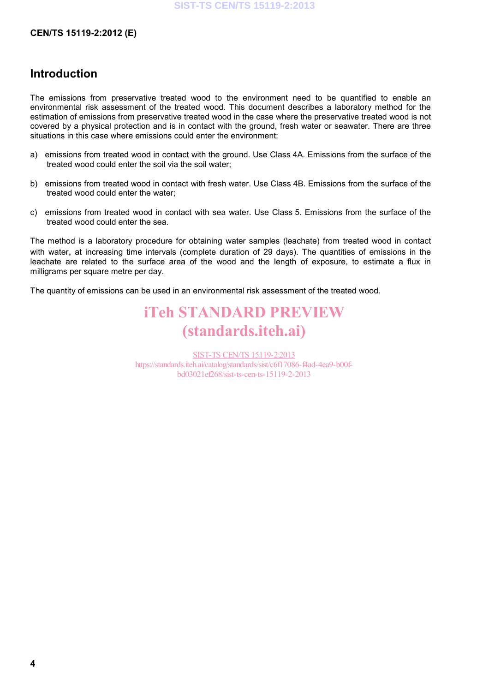#### **CEN/TS 15119-2:2012 (E)**

### **Introduction**

The emissions from preservative treated wood to the environment need to be quantified to enable an environmental risk assessment of the treated wood. This document describes a laboratory method for the estimation of emissions from preservative treated wood in the case where the preservative treated wood is not covered by a physical protection and is in contact with the ground, fresh water or seawater. There are three situations in this case where emissions could enter the environment:

- a) emissions from treated wood in contact with the ground. Use Class 4A. Emissions from the surface of the treated wood could enter the soil via the soil water;
- b) emissions from treated wood in contact with fresh water. Use Class 4B. Emissions from the surface of the treated wood could enter the water;
- c) emissions from treated wood in contact with sea water. Use Class 5. Emissions from the surface of the treated wood could enter the sea.

The method is a laboratory procedure for obtaining water samples (leachate) from treated wood in contact with water, at increasing time intervals (complete duration of 29 days). The quantities of emissions in the leachate are related to the surface area of the wood and the length of exposure, to estimate a flux in milligrams per square metre per day.

The quantity of emissions can be used in an environmental risk assessment of the treated wood.

# iTeh STANDARD PREVIEW (standards.iteh.ai)

SIST-TS CEN/TS 15119-2:2013 https://standards.iteh.ai/catalog/standards/sist/c6f17086-f4ad-4ea9-b00fbd03021ef268/sist-ts-cen-ts-15119-2-2013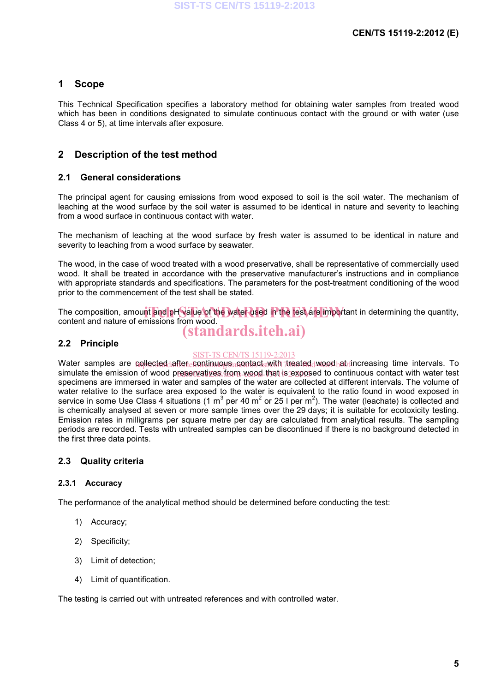### **1 Scope**

This Technical Specification specifies a laboratory method for obtaining water samples from treated wood which has been in conditions designated to simulate continuous contact with the ground or with water (use Class 4 or 5), at time intervals after exposure.

### **2 Description of the test method**

#### **2.1 General considerations**

The principal agent for causing emissions from wood exposed to soil is the soil water. The mechanism of leaching at the wood surface by the soil water is assumed to be identical in nature and severity to leaching from a wood surface in continuous contact with water.

The mechanism of leaching at the wood surface by fresh water is assumed to be identical in nature and severity to leaching from a wood surface by seawater.

The wood, in the case of wood treated with a wood preservative, shall be representative of commercially used wood. It shall be treated in accordance with the preservative manufacturer's instructions and in compliance with appropriate standards and specifications. The parameters for the post-treatment conditioning of the wood prior to the commencement of the test shall be stated.

The composition, amount and pH value of the water used in the test are important in determining the quantity,<br>content and nature of emissions from wood content and nature of emissions from wood.

# (standards.iteh.ai)

### **2.2 Principle**

#### SIST-TS CEN/TS 15119-2:2013

Water samples are <u>collected after continuoys contact.</u>with treated wood ab increasing time intervals. To simulate the emission of wood preservatives from wood that is exposed to continuous contact with water test specimens are immersed in water and samples of the water are collected at different intervals. The volume of water relative to the surface area exposed to the water is equivalent to the ratio found in wood exposed in service in some Use Class 4 situations (1 m<sup>3</sup> per 40 m<sup>2</sup> or 25 l per m<sup>2</sup>). The water (leachate) is collected and is chemically analysed at seven or more sample times over the 29 days; it is suitable for ecotoxicity testing. Emission rates in milligrams per square metre per day are calculated from analytical results. The sampling periods are recorded. Tests with untreated samples can be discontinued if there is no background detected in the first three data points.

### **2.3 Quality criteria**

#### **2.3.1 Accuracy**

The performance of the analytical method should be determined before conducting the test:

- 1) Accuracy;
- 2) Specificity;
- 3) Limit of detection;
- 4) Limit of quantification.

The testing is carried out with untreated references and with controlled water.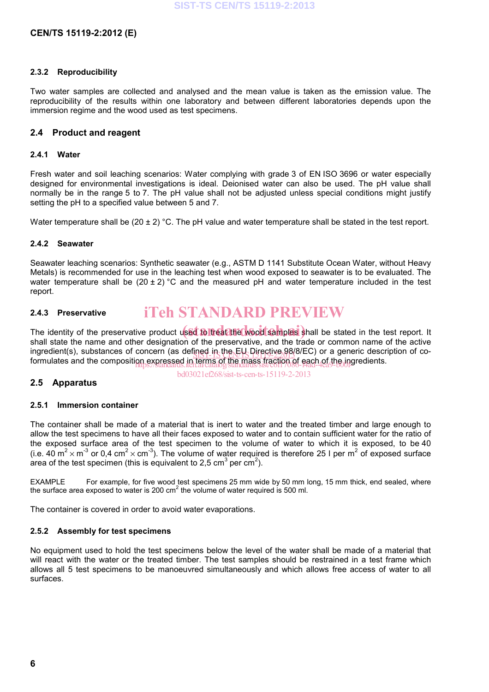#### **2.3.2 Reproducibility**

Two water samples are collected and analysed and the mean value is taken as the emission value. The reproducibility of the results within one laboratory and between different laboratories depends upon the immersion regime and the wood used as test specimens.

#### **2.4 Product and reagent**

#### **2.4.1 Water**

Fresh water and soil leaching scenarios: Water complying with grade 3 of EN ISO 3696 or water especially designed for environmental investigations is ideal. Deionised water can also be used. The pH value shall normally be in the range 5 to 7. The pH value shall not be adjusted unless special conditions might justify setting the pH to a specified value between 5 and 7.

Water temperature shall be  $(20 \pm 2)$  °C. The pH value and water temperature shall be stated in the test report.

#### **2.4.2 Seawater**

Seawater leaching scenarios: Synthetic seawater (e.g., ASTM D 1141 Substitute Ocean Water, without Heavy Metals) is recommended for use in the leaching test when wood exposed to seawater is to be evaluated. The water temperature shall be  $(20 \pm 2)$  °C and the measured pH and water temperature included in the test report.

#### **2.4.3 Preservative**  iTeh STANDARD PREVIEW

The identity of the preservative product used to treat the wood samples shall be stated in the test report. It shall state the name and other designation of the preservative, and the trade or common name of the active ingredient(s), substances of concern (as defined in the EU Directive 98/8/EC) or a generic description of co-<br>Segmentates and the concernition currenced in the UNIS 15119-2:2013 from a fit to incredients formulates and the composition expressed in terms of the mass fraction of each of the ingredients.<br>https://standards.iteh.ai/catalog/standards.iteh.ai/catalog/standards/sist/c6f17086-f4ad-4ea9-b00fgredients.

### **2.5 Apparatus**

bd03021ef268/sist-ts-cen-ts-15119-2-2013

#### **2.5.1 Immersion container**

The container shall be made of a material that is inert to water and the treated timber and large enough to allow the test specimens to have all their faces exposed to water and to contain sufficient water for the ratio of the exposed surface area of the test specimen to the volume of water to which it is exposed, to be 40 (i.e. 40 m<sup>2</sup> × m<sup>-3</sup> or 0,4 cm<sup>2</sup> × cm<sup>-3</sup>). The volume of water required is therefore 25 l per m<sup>2</sup> of exposed surface area of the test specimen (this is equivalent to 2,5 cm<sup>3</sup> per cm<sup>2</sup>).

EXAMPLE For example, for five wood test specimens 25 mm wide by 50 mm long, 15 mm thick, end sealed, where the surface area exposed to water is 200 cm<sup>2</sup> the volume of water required is 500 ml.

The container is covered in order to avoid water evaporations.

#### **2.5.2 Assembly for test specimens**

No equipment used to hold the test specimens below the level of the water shall be made of a material that will react with the water or the treated timber. The test samples should be restrained in a test frame which allows all 5 test specimens to be manoeuvred simultaneously and which allows free access of water to all surfaces.